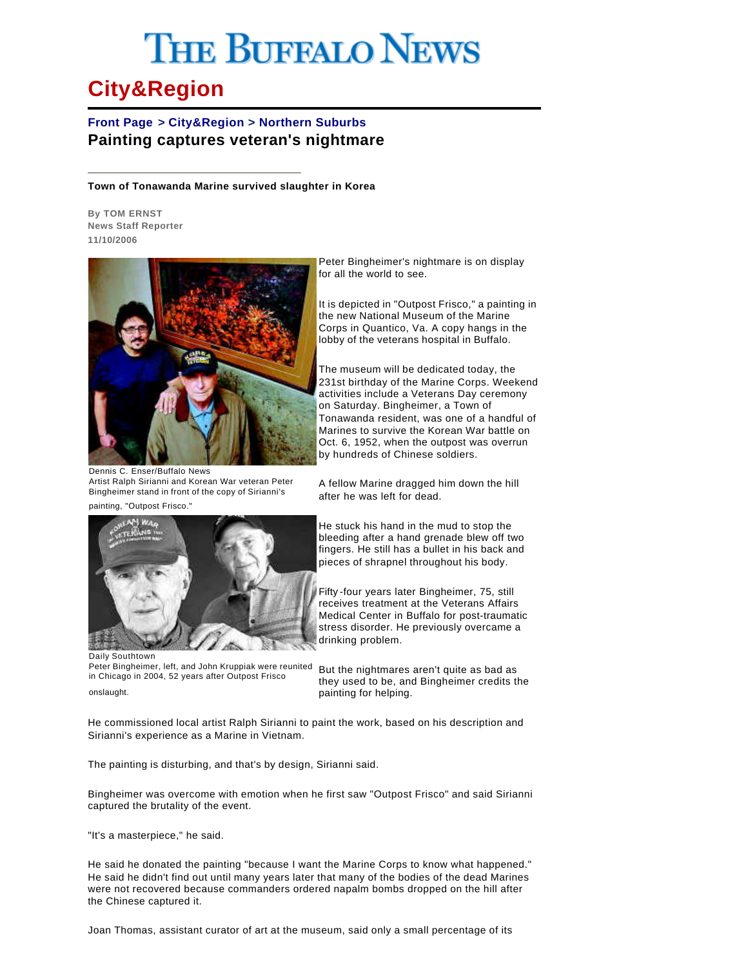## **THE BUFFALO NEWS**

## **City&Region**

## **Front Page > City&Region > Northern Suburbs Painting captures veteran's nightmare**

**Town of Tonawanda Marine survived slaughter in Korea**

**By TOM ERNST News Staff Reporter 11/10/2006**



Dennis C. Enser/Buffalo News Artist Ralph Sirianni and Korean War veteran Peter Bingheimer stand in front of the copy of Sirianni's

painting, "Outpost Frisco."



Daily Southtown Peter Bingheimer, left, and John Kruppiak were reunited in Chicago in 2004, 52 years after Outpost Frisco onslaught.

Peter Bingheimer's nightmare is on display for all the world to see.

It is depicted in "Outpost Frisco," a painting in the new National Museum of the Marine Corps in Quantico, Va. A copy hangs in the lobby of the veterans hospital in Buffalo.

The museum will be dedicated today, the 231st birthday of the Marine Corps. Weekend activities include a Veterans Day ceremony on Saturday. Bingheimer, a Town of Tonawanda resident, was one of a handful of Marines to survive the Korean War battle on Oct. 6, 1952, when the outpost was overrun by hundreds of Chinese soldiers.

A fellow Marine dragged him down the hill after he was left for dead.

He stuck his hand in the mud to stop the bleeding after a hand grenade blew off two fingers. He still has a bullet in his back and pieces of shrapnel throughout his body.

Fifty -four years later Bingheimer, 75, still receives treatment at the Veterans Affairs Medical Center in Buffalo for post-traumatic stress disorder. He previously overcame a drinking problem.

But the nightmares aren't quite as bad as they used to be, and Bingheimer credits the painting for helping.

He commissioned local artist Ralph Sirianni to paint the work, based on his description and Sirianni's experience as a Marine in Vietnam.

The painting is disturbing, and that's by design, Sirianni said.

Bingheimer was overcome with emotion when he first saw "Outpost Frisco" and said Sirianni captured the brutality of the event.

"It's a masterpiece," he said.

He said he donated the painting "because I want the Marine Corps to know what happened." He said he didn't find out until many years later that many of the bodies of the dead Marines were not recovered because commanders ordered napalm bombs dropped on the hill after the Chinese captured it.

Joan Thomas, assistant curator of art at the museum, said only a small percentage of its